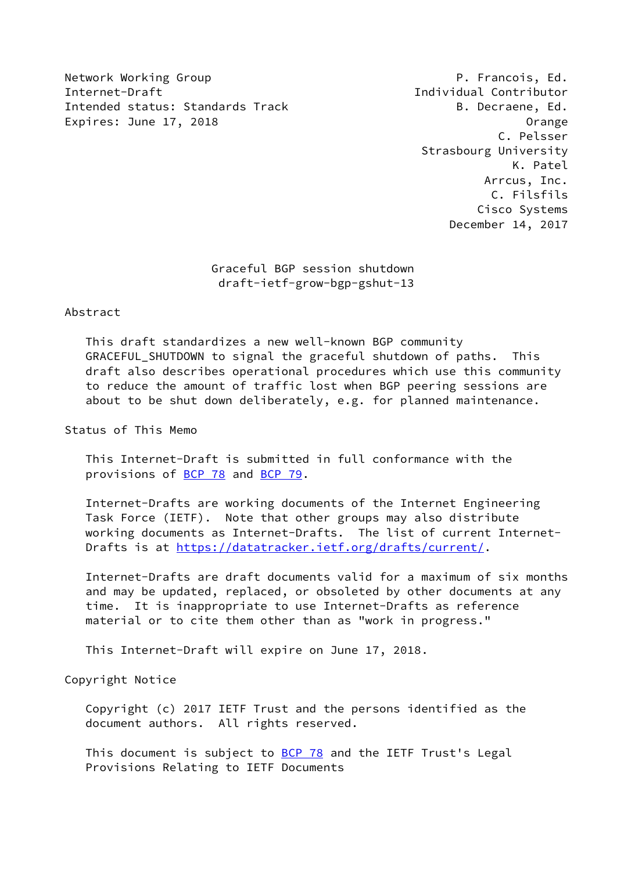Network Working Group **P. Francois, Ed.** Internet-Draft Individual Contributor Intended status: Standards Track B. Decraene, Ed. Expires: June 17, 2018 **Expires:** Orange

 C. Pelsser Strasbourg University K. Patel Arrcus, Inc. C. Filsfils Cisco Systems December 14, 2017

> Graceful BGP session shutdown draft-ietf-grow-bgp-gshut-13

#### Abstract

 This draft standardizes a new well-known BGP community GRACEFUL SHUTDOWN to signal the graceful shutdown of paths. This draft also describes operational procedures which use this community to reduce the amount of traffic lost when BGP peering sessions are about to be shut down deliberately, e.g. for planned maintenance.

Status of This Memo

 This Internet-Draft is submitted in full conformance with the provisions of [BCP 78](https://datatracker.ietf.org/doc/pdf/bcp78) and [BCP 79](https://datatracker.ietf.org/doc/pdf/bcp79).

 Internet-Drafts are working documents of the Internet Engineering Task Force (IETF). Note that other groups may also distribute working documents as Internet-Drafts. The list of current Internet- Drafts is at<https://datatracker.ietf.org/drafts/current/>.

 Internet-Drafts are draft documents valid for a maximum of six months and may be updated, replaced, or obsoleted by other documents at any time. It is inappropriate to use Internet-Drafts as reference material or to cite them other than as "work in progress."

This Internet-Draft will expire on June 17, 2018.

Copyright Notice

 Copyright (c) 2017 IETF Trust and the persons identified as the document authors. All rights reserved.

This document is subject to **[BCP 78](https://datatracker.ietf.org/doc/pdf/bcp78)** and the IETF Trust's Legal Provisions Relating to IETF Documents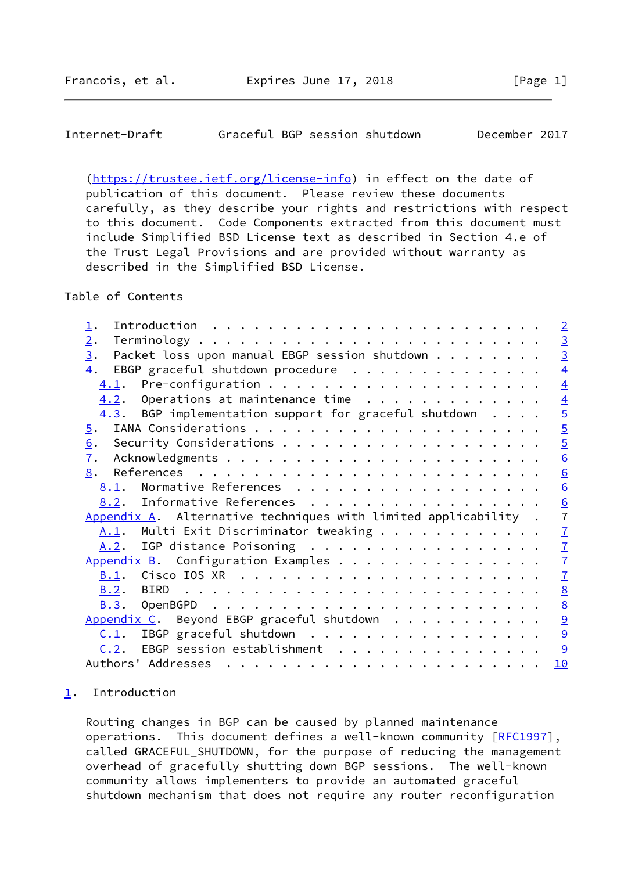# <span id="page-1-1"></span>Internet-Draft Graceful BGP session shutdown December 2017

 [\(https://trustee.ietf.org/license-info](https://trustee.ietf.org/license-info)) in effect on the date of publication of this document. Please review these documents carefully, as they describe your rights and restrictions with respect to this document. Code Components extracted from this document must include Simplified BSD License text as described in Section 4.e of the Trust Legal Provisions and are provided without warranty as described in the Simplified BSD License.

Table of Contents

| $\perp$ .                                                                                                                                                                                                                                                                                                                                                                                                                                                                                                     | $\overline{2}$  |
|---------------------------------------------------------------------------------------------------------------------------------------------------------------------------------------------------------------------------------------------------------------------------------------------------------------------------------------------------------------------------------------------------------------------------------------------------------------------------------------------------------------|-----------------|
| 2.                                                                                                                                                                                                                                                                                                                                                                                                                                                                                                            |                 |
| Packet loss upon manual EBGP session shutdown<br>$\underline{3}$ .                                                                                                                                                                                                                                                                                                                                                                                                                                            | $\frac{3}{3}$   |
| EBGP graceful shutdown procedure<br>$\overline{4}$ .                                                                                                                                                                                                                                                                                                                                                                                                                                                          | $\overline{4}$  |
|                                                                                                                                                                                                                                                                                                                                                                                                                                                                                                               | $\overline{4}$  |
| $4.2.$ Operations at maintenance time                                                                                                                                                                                                                                                                                                                                                                                                                                                                         | $\overline{4}$  |
| $4.3$ . BGP implementation support for graceful shutdown                                                                                                                                                                                                                                                                                                                                                                                                                                                      | $\overline{5}$  |
| $\overline{5}$ .                                                                                                                                                                                                                                                                                                                                                                                                                                                                                              | $rac{5}{5}$     |
| 6.                                                                                                                                                                                                                                                                                                                                                                                                                                                                                                            |                 |
| $\mathbf{I}$ .                                                                                                                                                                                                                                                                                                                                                                                                                                                                                                | 6               |
| 8.                                                                                                                                                                                                                                                                                                                                                                                                                                                                                                            | $\underline{6}$ |
| 8.1. Normative References                                                                                                                                                                                                                                                                                                                                                                                                                                                                                     | $\underline{6}$ |
| 8.2. Informative References                                                                                                                                                                                                                                                                                                                                                                                                                                                                                   | $\frac{6}{7}$   |
| Appendix A. Alternative techniques with limited applicability.                                                                                                                                                                                                                                                                                                                                                                                                                                                |                 |
| A.1. Multi Exit Discriminator tweaking                                                                                                                                                                                                                                                                                                                                                                                                                                                                        | $\mathbf{Z}$    |
| A.2. IGP distance Poisoning                                                                                                                                                                                                                                                                                                                                                                                                                                                                                   | $\overline{1}$  |
| Appendix B. Configuration Examples                                                                                                                                                                                                                                                                                                                                                                                                                                                                            | $\mathbf{Z}$    |
| B.1.                                                                                                                                                                                                                                                                                                                                                                                                                                                                                                          | $\mathbf{I}$    |
|                                                                                                                                                                                                                                                                                                                                                                                                                                                                                                               | $\underline{8}$ |
| B.3.                                                                                                                                                                                                                                                                                                                                                                                                                                                                                                          | $\underline{8}$ |
| Appendix C. Beyond EBGP graceful shutdown                                                                                                                                                                                                                                                                                                                                                                                                                                                                     | $\frac{9}{9}$   |
| $C.1$ . IBGP graceful shutdown                                                                                                                                                                                                                                                                                                                                                                                                                                                                                |                 |
| EBGP session establishment<br>C.2.                                                                                                                                                                                                                                                                                                                                                                                                                                                                            | 9               |
| Authors' Addresses<br>$\mathbf{r}^{\mathsf{T}} \cdot \mathbf{r}^{\mathsf{T}} \cdot \mathbf{r}^{\mathsf{T}} \cdot \mathbf{r}^{\mathsf{T}} \cdot \mathbf{r}^{\mathsf{T}} \cdot \mathbf{r}^{\mathsf{T}} \cdot \mathbf{r}^{\mathsf{T}} \cdot \mathbf{r}^{\mathsf{T}} \cdot \mathbf{r}^{\mathsf{T}} \cdot \mathbf{r}^{\mathsf{T}} \cdot \mathbf{r}^{\mathsf{T}} \cdot \mathbf{r}^{\mathsf{T}} \cdot \mathbf{r}^{\mathsf{T}} \cdot \mathbf{r}^{\mathsf{T}} \cdot \mathbf{r}^{\mathsf{T}} \cdot \mathbf{r}^{\mathsf$ | 10              |

## <span id="page-1-0"></span>[1](#page-1-0). Introduction

 Routing changes in BGP can be caused by planned maintenance operations. This document defines a well-known community [[RFC1997](https://datatracker.ietf.org/doc/pdf/rfc1997)], called GRACEFUL\_SHUTDOWN, for the purpose of reducing the management overhead of gracefully shutting down BGP sessions. The well-known community allows implementers to provide an automated graceful shutdown mechanism that does not require any router reconfiguration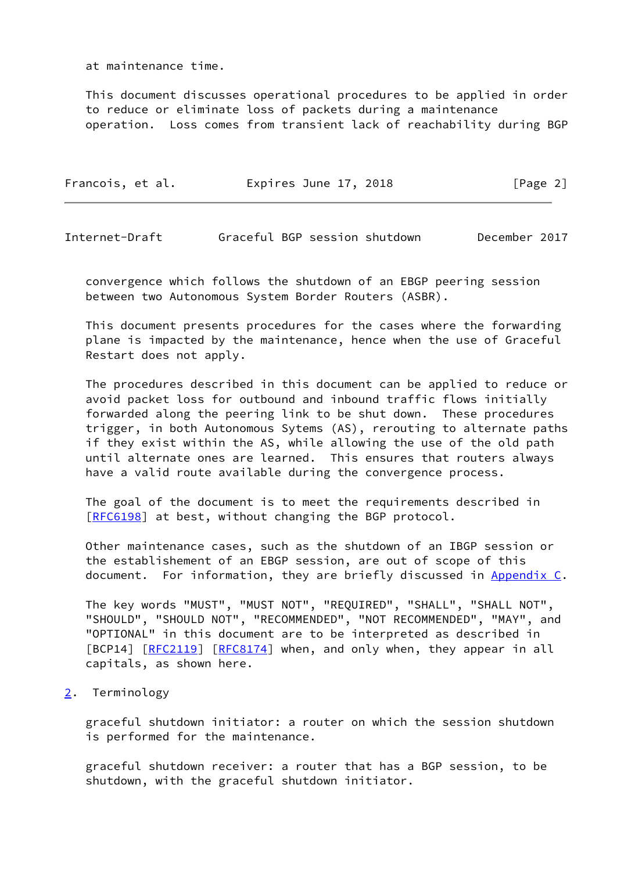at maintenance time.

 This document discusses operational procedures to be applied in order to reduce or eliminate loss of packets during a maintenance operation. Loss comes from transient lack of reachability during BGP

| Francois, et al. | Expires June 17, 2018 | [Page 2] |
|------------------|-----------------------|----------|
|                  |                       |          |

<span id="page-2-1"></span>Internet-Draft Graceful BGP session shutdown December 2017

 convergence which follows the shutdown of an EBGP peering session between two Autonomous System Border Routers (ASBR).

 This document presents procedures for the cases where the forwarding plane is impacted by the maintenance, hence when the use of Graceful Restart does not apply.

 The procedures described in this document can be applied to reduce or avoid packet loss for outbound and inbound traffic flows initially forwarded along the peering link to be shut down. These procedures trigger, in both Autonomous Sytems (AS), rerouting to alternate paths if they exist within the AS, while allowing the use of the old path until alternate ones are learned. This ensures that routers always have a valid route available during the convergence process.

 The goal of the document is to meet the requirements described in [\[RFC6198](https://datatracker.ietf.org/doc/pdf/rfc6198)] at best, without changing the BGP protocol.

 Other maintenance cases, such as the shutdown of an IBGP session or the establishement of an EBGP session, are out of scope of this document. For information, they are briefly discussed in [Appendix C.](#page-9-0)

 The key words "MUST", "MUST NOT", "REQUIRED", "SHALL", "SHALL NOT", "SHOULD", "SHOULD NOT", "RECOMMENDED", "NOT RECOMMENDED", "MAY", and "OPTIONAL" in this document are to be interpreted as described in [BCP14] [\[RFC2119](https://datatracker.ietf.org/doc/pdf/rfc2119)] [[RFC8174](https://datatracker.ietf.org/doc/pdf/rfc8174)] when, and only when, they appear in all capitals, as shown here.

<span id="page-2-0"></span>[2](#page-2-0). Terminology

 graceful shutdown initiator: a router on which the session shutdown is performed for the maintenance.

 graceful shutdown receiver: a router that has a BGP session, to be shutdown, with the graceful shutdown initiator.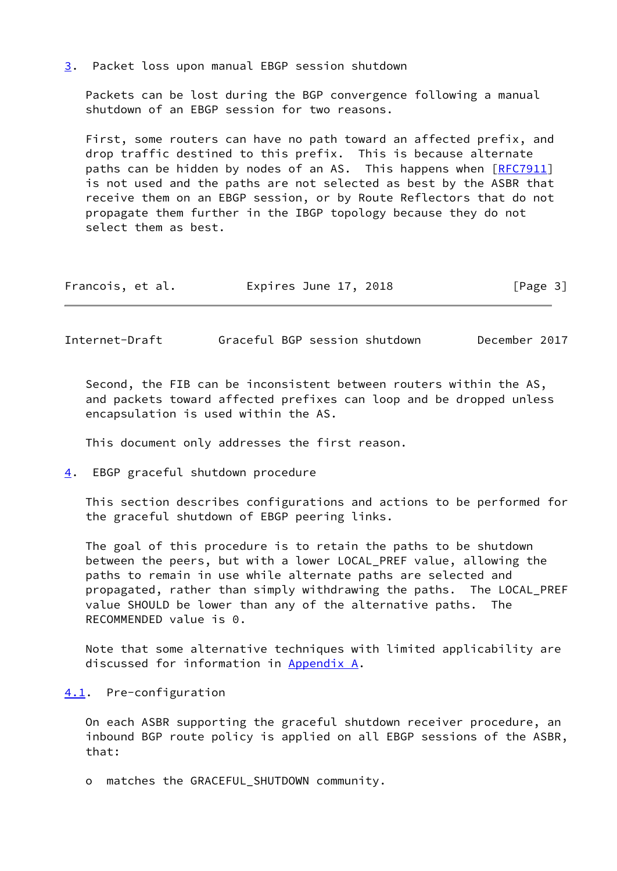<span id="page-3-0"></span>[3](#page-3-0). Packet loss upon manual EBGP session shutdown

 Packets can be lost during the BGP convergence following a manual shutdown of an EBGP session for two reasons.

 First, some routers can have no path toward an affected prefix, and drop traffic destined to this prefix. This is because alternate paths can be hidden by nodes of an AS. This happens when [[RFC7911](https://datatracker.ietf.org/doc/pdf/rfc7911)] is not used and the paths are not selected as best by the ASBR that receive them on an EBGP session, or by Route Reflectors that do not propagate them further in the IBGP topology because they do not select them as best.

| [Page 3]<br>Expires June 17, 2018<br>Francois, et al. |  |  |  |
|-------------------------------------------------------|--|--|--|
|-------------------------------------------------------|--|--|--|

<span id="page-3-2"></span>Internet-Draft Graceful BGP session shutdown December 2017

 Second, the FIB can be inconsistent between routers within the AS, and packets toward affected prefixes can loop and be dropped unless encapsulation is used within the AS.

This document only addresses the first reason.

<span id="page-3-1"></span>[4](#page-3-1). EBGP graceful shutdown procedure

 This section describes configurations and actions to be performed for the graceful shutdown of EBGP peering links.

 The goal of this procedure is to retain the paths to be shutdown between the peers, but with a lower LOCAL\_PREF value, allowing the paths to remain in use while alternate paths are selected and propagated, rather than simply withdrawing the paths. The LOCAL\_PREF value SHOULD be lower than any of the alternative paths. The RECOMMENDED value is 0.

 Note that some alternative techniques with limited applicability are discussed for information in [Appendix A.](#page-6-1)

#### <span id="page-3-3"></span>[4.1](#page-3-3). Pre-configuration

 On each ASBR supporting the graceful shutdown receiver procedure, an inbound BGP route policy is applied on all EBGP sessions of the ASBR, that:

o matches the GRACEFUL\_SHUTDOWN community.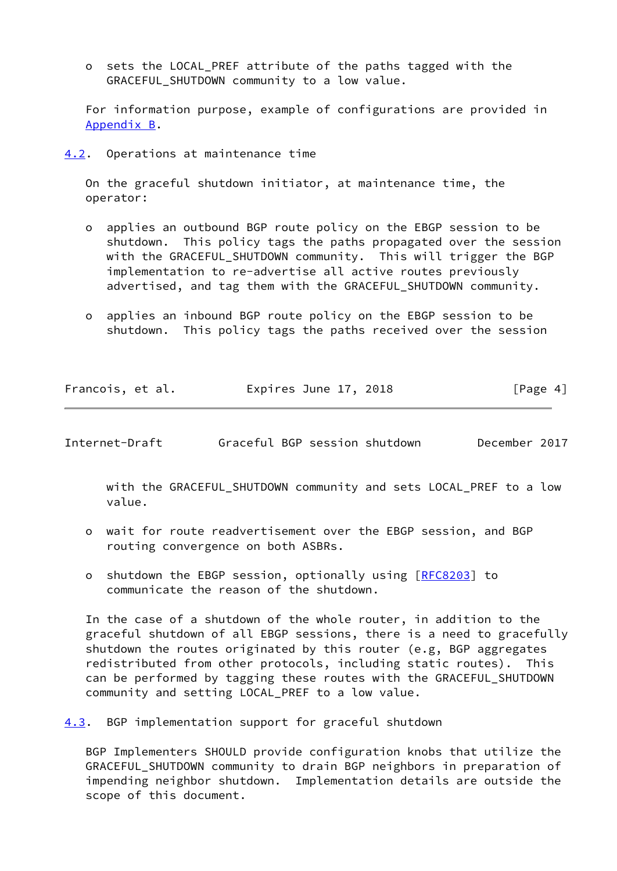o sets the LOCAL\_PREF attribute of the paths tagged with the GRACEFUL\_SHUTDOWN community to a low value.

 For information purpose, example of configurations are provided in [Appendix B](#page-7-1).

<span id="page-4-0"></span>[4.2](#page-4-0). Operations at maintenance time

 On the graceful shutdown initiator, at maintenance time, the operator:

- o applies an outbound BGP route policy on the EBGP session to be shutdown. This policy tags the paths propagated over the session with the GRACEFUL\_SHUTDOWN community. This will trigger the BGP implementation to re-advertise all active routes previously advertised, and tag them with the GRACEFUL\_SHUTDOWN community.
- o applies an inbound BGP route policy on the EBGP session to be shutdown. This policy tags the paths received over the session

| Francois, et al. | Expires June 17, 2018 | [Page 4] |
|------------------|-----------------------|----------|
|                  |                       |          |

<span id="page-4-2"></span>Internet-Draft Graceful BGP session shutdown December 2017

 with the GRACEFUL\_SHUTDOWN community and sets LOCAL\_PREF to a low value.

- o wait for route readvertisement over the EBGP session, and BGP routing convergence on both ASBRs.
- o shutdown the EBGP session, optionally using [\[RFC8203](https://datatracker.ietf.org/doc/pdf/rfc8203)] to communicate the reason of the shutdown.

 In the case of a shutdown of the whole router, in addition to the graceful shutdown of all EBGP sessions, there is a need to gracefully shutdown the routes originated by this router (e.g, BGP aggregates redistributed from other protocols, including static routes). This can be performed by tagging these routes with the GRACEFUL\_SHUTDOWN community and setting LOCAL\_PREF to a low value.

<span id="page-4-1"></span>[4.3](#page-4-1). BGP implementation support for graceful shutdown

 BGP Implementers SHOULD provide configuration knobs that utilize the GRACEFUL\_SHUTDOWN community to drain BGP neighbors in preparation of impending neighbor shutdown. Implementation details are outside the scope of this document.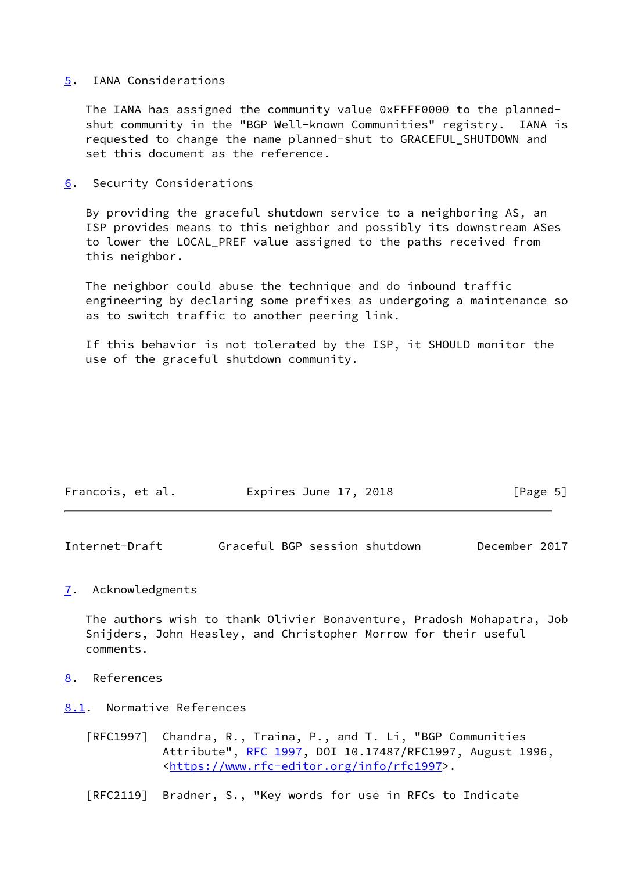#### <span id="page-5-0"></span>[5](#page-5-0). IANA Considerations

 The IANA has assigned the community value 0xFFFF0000 to the planned shut community in the "BGP Well-known Communities" registry. IANA is requested to change the name planned-shut to GRACEFUL\_SHUTDOWN and set this document as the reference.

<span id="page-5-1"></span>[6](#page-5-1). Security Considerations

 By providing the graceful shutdown service to a neighboring AS, an ISP provides means to this neighbor and possibly its downstream ASes to lower the LOCAL\_PREF value assigned to the paths received from this neighbor.

 The neighbor could abuse the technique and do inbound traffic engineering by declaring some prefixes as undergoing a maintenance so as to switch traffic to another peering link.

 If this behavior is not tolerated by the ISP, it SHOULD monitor the use of the graceful shutdown community.

| Francois, et al. | Expires June 17, 2018 | [Page 5] |
|------------------|-----------------------|----------|
|------------------|-----------------------|----------|

<span id="page-5-3"></span>Internet-Draft Graceful BGP session shutdown December 2017

## <span id="page-5-2"></span>[7](#page-5-2). Acknowledgments

 The authors wish to thank Olivier Bonaventure, Pradosh Mohapatra, Job Snijders, John Heasley, and Christopher Morrow for their useful comments.

- <span id="page-5-4"></span>[8](#page-5-4). References
- <span id="page-5-5"></span>[8.1](#page-5-5). Normative References
	- [RFC1997] Chandra, R., Traina, P., and T. Li, "BGP Communities Attribute", [RFC 1997,](https://datatracker.ietf.org/doc/pdf/rfc1997) DOI 10.17487/RFC1997, August 1996, <[https://www.rfc-editor.org/info/rfc1997>](https://www.rfc-editor.org/info/rfc1997).
	- [RFC2119] Bradner, S., "Key words for use in RFCs to Indicate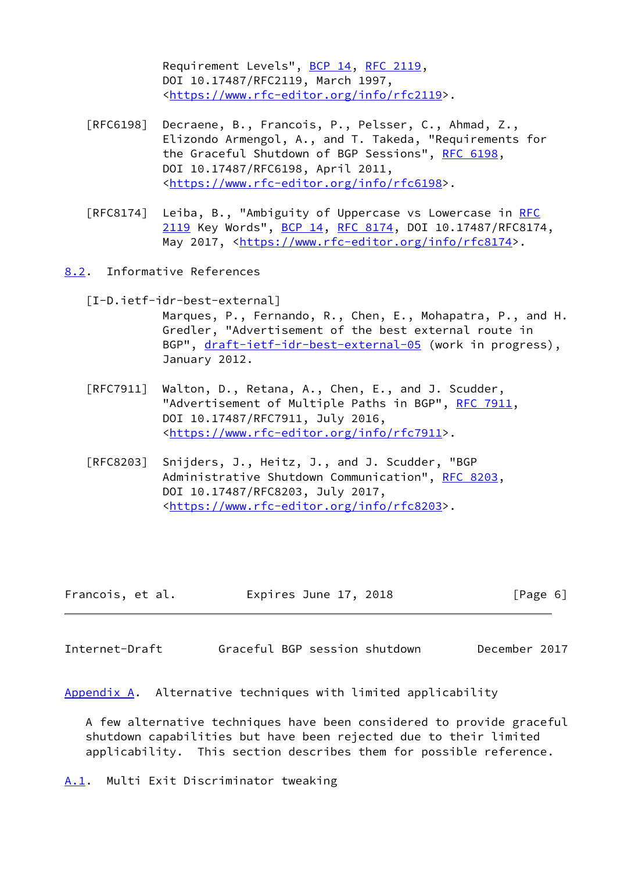Requirement Levels", [BCP 14](https://datatracker.ietf.org/doc/pdf/bcp14), [RFC 2119](https://datatracker.ietf.org/doc/pdf/rfc2119), DOI 10.17487/RFC2119, March 1997, <[https://www.rfc-editor.org/info/rfc2119>](https://www.rfc-editor.org/info/rfc2119).

- [RFC6198] Decraene, B., Francois, P., Pelsser, C., Ahmad, Z., Elizondo Armengol, A., and T. Takeda, "Requirements for the Graceful Shutdown of BGP Sessions", [RFC 6198,](https://datatracker.ietf.org/doc/pdf/rfc6198) DOI 10.17487/RFC6198, April 2011, <[https://www.rfc-editor.org/info/rfc6198>](https://www.rfc-editor.org/info/rfc6198).
- [RFC8174] Leiba, B., "Ambiguity of Uppercase vs Lowercase in [RFC](https://datatracker.ietf.org/doc/pdf/rfc2119) [2119](https://datatracker.ietf.org/doc/pdf/rfc2119) Key Words", [BCP 14](https://datatracker.ietf.org/doc/pdf/bcp14), [RFC 8174,](https://datatracker.ietf.org/doc/pdf/rfc8174) DOI 10.17487/RFC8174, May 2017, [<https://www.rfc-editor.org/info/rfc8174](https://www.rfc-editor.org/info/rfc8174)>.
- <span id="page-6-4"></span><span id="page-6-0"></span>[8.2](#page-6-0). Informative References
	- [I-D.ietf-idr-best-external] Marques, P., Fernando, R., Chen, E., Mohapatra, P., and H. Gredler, "Advertisement of the best external route in BGP", [draft-ietf-idr-best-external-05](https://datatracker.ietf.org/doc/pdf/draft-ietf-idr-best-external-05) (work in progress), January 2012.
	- [RFC7911] Walton, D., Retana, A., Chen, E., and J. Scudder, "Advertisement of Multiple Paths in BGP", [RFC 7911](https://datatracker.ietf.org/doc/pdf/rfc7911), DOI 10.17487/RFC7911, July 2016, <[https://www.rfc-editor.org/info/rfc7911>](https://www.rfc-editor.org/info/rfc7911).
	- [RFC8203] Snijders, J., Heitz, J., and J. Scudder, "BGP Administrative Shutdown Communication", [RFC 8203,](https://datatracker.ietf.org/doc/pdf/rfc8203) DOI 10.17487/RFC8203, July 2017, <[https://www.rfc-editor.org/info/rfc8203>](https://www.rfc-editor.org/info/rfc8203).

| Francois, et al. | Expires June 17, 2018 | [Page 6] |
|------------------|-----------------------|----------|
|------------------|-----------------------|----------|

<span id="page-6-3"></span>Internet-Draft Graceful BGP session shutdown December 2017

<span id="page-6-1"></span>[Appendix A.](#page-6-1) Alternative techniques with limited applicability

 A few alternative techniques have been considered to provide graceful shutdown capabilities but have been rejected due to their limited applicability. This section describes them for possible reference.

<span id="page-6-2"></span>[A.1](#page-6-2). Multi Exit Discriminator tweaking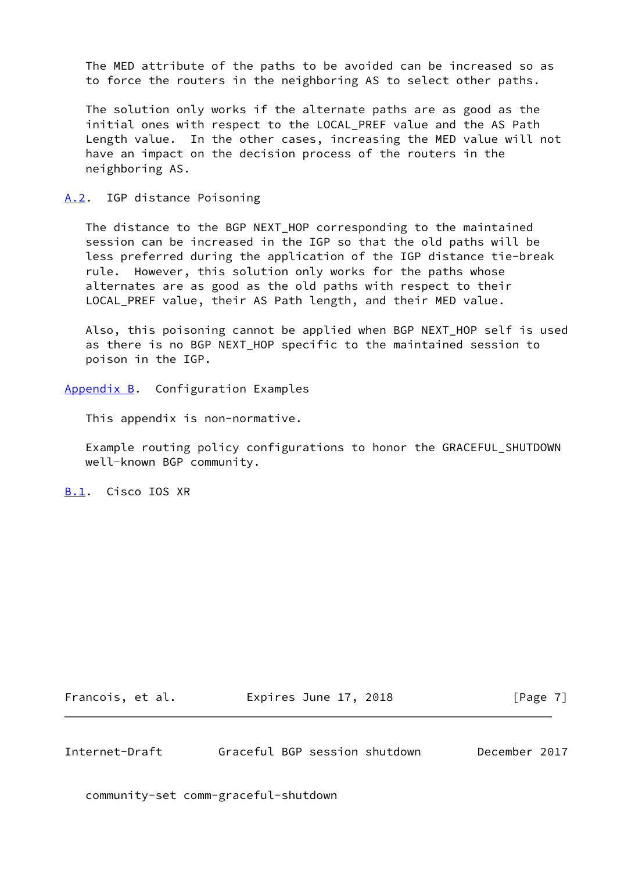The MED attribute of the paths to be avoided can be increased so as to force the routers in the neighboring AS to select other paths.

 The solution only works if the alternate paths are as good as the initial ones with respect to the LOCAL PREF value and the AS Path Length value. In the other cases, increasing the MED value will not have an impact on the decision process of the routers in the neighboring AS.

### <span id="page-7-0"></span>[A.2](#page-7-0). IGP distance Poisoning

 The distance to the BGP NEXT\_HOP corresponding to the maintained session can be increased in the IGP so that the old paths will be less preferred during the application of the IGP distance tie-break rule. However, this solution only works for the paths whose alternates are as good as the old paths with respect to their LOCAL\_PREF value, their AS Path length, and their MED value.

Also, this poisoning cannot be applied when BGP NEXT HOP self is used as there is no BGP NEXT HOP specific to the maintained session to poison in the IGP.

<span id="page-7-1"></span>[Appendix B.](#page-7-1) Configuration Examples

This appendix is non-normative.

 Example routing policy configurations to honor the GRACEFUL\_SHUTDOWN well-known BGP community.

<span id="page-7-2"></span>[B.1](#page-7-2). Cisco IOS XR

Francois, et al. **Expires June 17, 2018**[Page 7]

<span id="page-7-3"></span>Internet-Draft Graceful BGP session shutdown December 2017

community-set comm-graceful-shutdown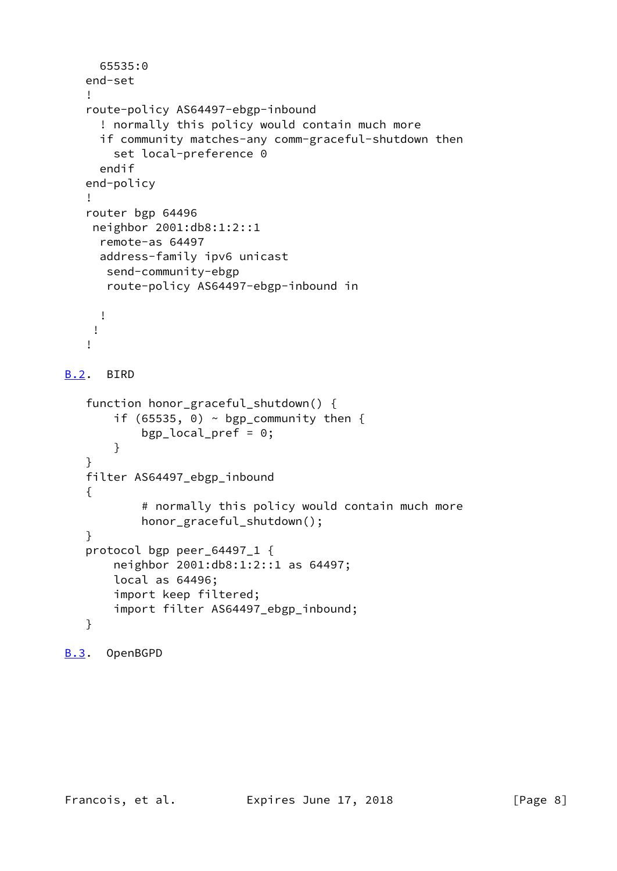```
 65535:0
    end-set
    !
    route-policy AS64497-ebgp-inbound
      ! normally this policy would contain much more
      if community matches-any comm-graceful-shutdown then
        set local-preference 0
      endif
    end-policy
    !
    router bgp 64496
     neighbor 2001:db8:1:2::1
      remote-as 64497
      address-family ipv6 unicast
       send-community-ebgp
       route-policy AS64497-ebgp-inbound in
      !
     !
    !
B.2. BIRD
    function honor_graceful_shutdown() {
       if (65535, 0) \sim bgp_community then {
            bgp_local_pref = 0;
        }
    }
    filter AS64497_ebgp_inbound
    {
             # normally this policy would contain much more
            honor_graceful_shutdown();
    }
    protocol bgp peer_64497_1 {
        neighbor 2001:db8:1:2::1 as 64497;
        local as 64496;
        import keep filtered;
        import filter AS64497_ebgp_inbound;
    }
```

```
B.3. OpenBGPD
```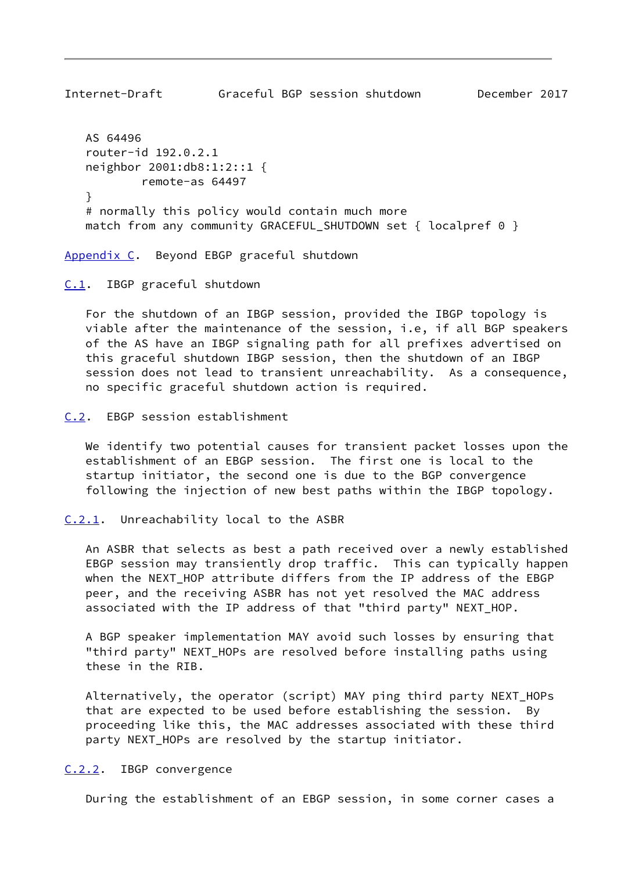<span id="page-9-1"></span>Internet-Draft Graceful BGP session shutdown December 2017 AS 64496 router-id 192.0.2.1 neighbor 2001:db8:1:2::1 { remote-as 64497 } # normally this policy would contain much more match from any community GRACEFUL\_SHUTDOWN set { localpref 0 }

<span id="page-9-0"></span>[Appendix C.](#page-9-0) Beyond EBGP graceful shutdown

<span id="page-9-2"></span>[C.1](#page-9-2). IBGP graceful shutdown

 For the shutdown of an IBGP session, provided the IBGP topology is viable after the maintenance of the session, i.e, if all BGP speakers of the AS have an IBGP signaling path for all prefixes advertised on this graceful shutdown IBGP session, then the shutdown of an IBGP session does not lead to transient unreachability. As a consequence, no specific graceful shutdown action is required.

<span id="page-9-3"></span>[C.2](#page-9-3). EBGP session establishment

 We identify two potential causes for transient packet losses upon the establishment of an EBGP session. The first one is local to the startup initiator, the second one is due to the BGP convergence following the injection of new best paths within the IBGP topology.

<span id="page-9-4"></span>[C.2.1](#page-9-4). Unreachability local to the ASBR

 An ASBR that selects as best a path received over a newly established EBGP session may transiently drop traffic. This can typically happen when the NEXT HOP attribute differs from the IP address of the EBGP peer, and the receiving ASBR has not yet resolved the MAC address associated with the IP address of that "third party" NEXT\_HOP.

 A BGP speaker implementation MAY avoid such losses by ensuring that "third party" NEXT\_HOPs are resolved before installing paths using these in the RIB.

 Alternatively, the operator (script) MAY ping third party NEXT\_HOPs that are expected to be used before establishing the session. By proceeding like this, the MAC addresses associated with these third party NEXT\_HOPs are resolved by the startup initiator.

<span id="page-9-5"></span>[C.2.2](#page-9-5). IBGP convergence

During the establishment of an EBGP session, in some corner cases a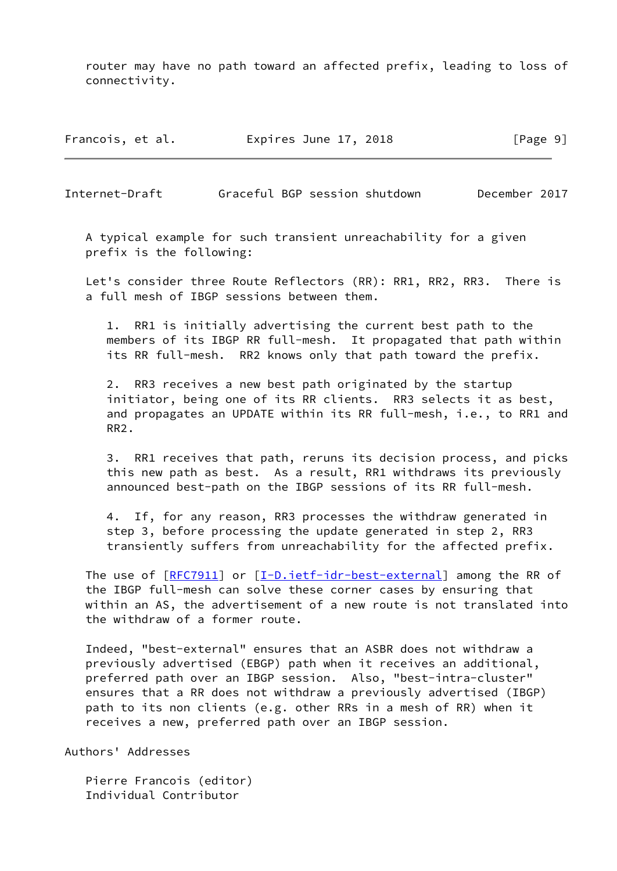router may have no path toward an affected prefix, leading to loss of connectivity.

Francois, et al. Expires June 17, 2018 [Page 9]

<span id="page-10-0"></span>Internet-Draft Graceful BGP session shutdown December 2017

 A typical example for such transient unreachability for a given prefix is the following:

 Let's consider three Route Reflectors (RR): RR1, RR2, RR3. There is a full mesh of IBGP sessions between them.

 1. RR1 is initially advertising the current best path to the members of its IBGP RR full-mesh. It propagated that path within its RR full-mesh. RR2 knows only that path toward the prefix.

 2. RR3 receives a new best path originated by the startup initiator, being one of its RR clients. RR3 selects it as best, and propagates an UPDATE within its RR full-mesh, i.e., to RR1 and RR2.

 3. RR1 receives that path, reruns its decision process, and picks this new path as best. As a result, RR1 withdraws its previously announced best-path on the IBGP sessions of its RR full-mesh.

 4. If, for any reason, RR3 processes the withdraw generated in step 3, before processing the update generated in step 2, RR3 transiently suffers from unreachability for the affected prefix.

The use of  $[RFC7911]$  $[RFC7911]$  or  $[I-D.iett-idr-best-external]$  among the RR of the IBGP full-mesh can solve these corner cases by ensuring that within an AS, the advertisement of a new route is not translated into the withdraw of a former route.

 Indeed, "best-external" ensures that an ASBR does not withdraw a previously advertised (EBGP) path when it receives an additional, preferred path over an IBGP session. Also, "best-intra-cluster" ensures that a RR does not withdraw a previously advertised (IBGP) path to its non clients (e.g. other RRs in a mesh of RR) when it receives a new, preferred path over an IBGP session.

Authors' Addresses

 Pierre Francois (editor) Individual Contributor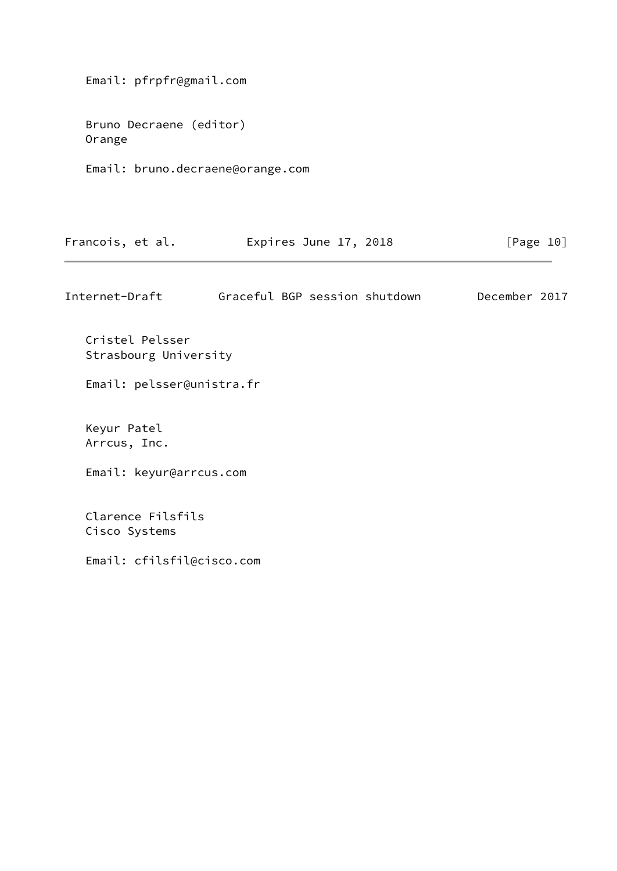Email: pfrpfr@gmail.com

 Bruno Decraene (editor) Orange

Email: bruno.decraene@orange.com

| Francois, et al. | Expires June 17, 2018 | [Page 10] |
|------------------|-----------------------|-----------|
|------------------|-----------------------|-----------|

Internet-Draft Graceful BGP session shutdown December 2017

 Cristel Pelsser Strasbourg University Email: pelsser@unistra.fr Keyur Patel

Arrcus, Inc.

Email: keyur@arrcus.com

 Clarence Filsfils Cisco Systems

Email: cfilsfil@cisco.com